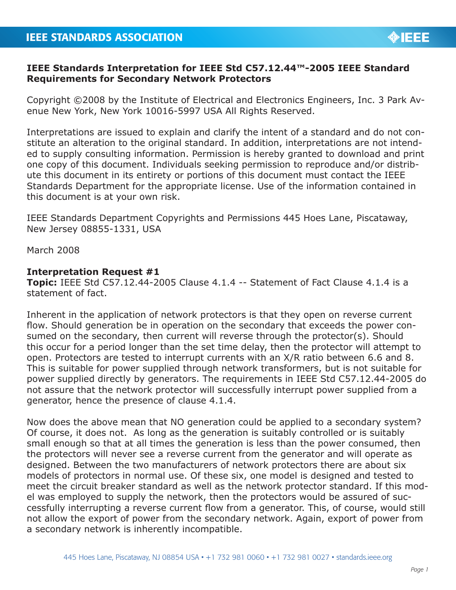

## **IEEE Standards Interpretation for IEEE Std C57.12.44™-2005 IEEE Standard Requirements for Secondary Network Protectors**

Copyright ©2008 by the Institute of Electrical and Electronics Engineers, Inc. 3 Park Avenue New York, New York 10016-5997 USA All Rights Reserved.

Interpretations are issued to explain and clarify the intent of a standard and do not constitute an alteration to the original standard. In addition, interpretations are not intended to supply consulting information. Permission is hereby granted to download and print one copy of this document. Individuals seeking permission to reproduce and/or distribute this document in its entirety or portions of this document must contact the IEEE Standards Department for the appropriate license. Use of the information contained in this document is at your own risk.

IEEE Standards Department Copyrights and Permissions 445 Hoes Lane, Piscataway, New Jersey 08855-1331, USA

March 2008

## **Interpretation Request #1**

**Topic:** IEEE Std C57.12.44-2005 Clause 4.1.4 -- Statement of Fact Clause 4.1.4 is a statement of fact.

Inherent in the application of network protectors is that they open on reverse current flow. Should generation be in operation on the secondary that exceeds the power consumed on the secondary, then current will reverse through the protector(s). Should this occur for a period longer than the set time delay, then the protector will attempt to open. Protectors are tested to interrupt currents with an X/R ratio between 6.6 and 8. This is suitable for power supplied through network transformers, but is not suitable for power supplied directly by generators. The requirements in IEEE Std C57.12.44-2005 do not assure that the network protector will successfully interrupt power supplied from a generator, hence the presence of clause 4.1.4.

Now does the above mean that NO generation could be applied to a secondary system? Of course, it does not. As long as the generation is suitably controlled or is suitably small enough so that at all times the generation is less than the power consumed, then the protectors will never see a reverse current from the generator and will operate as designed. Between the two manufacturers of network protectors there are about six models of protectors in normal use. Of these six, one model is designed and tested to meet the circuit breaker standard as well as the network protector standard. If this model was employed to supply the network, then the protectors would be assured of successfully interrupting a reverse current flow from a generator. This, of course, would still not allow the export of power from the secondary network. Again, export of power from a secondary network is inherently incompatible.